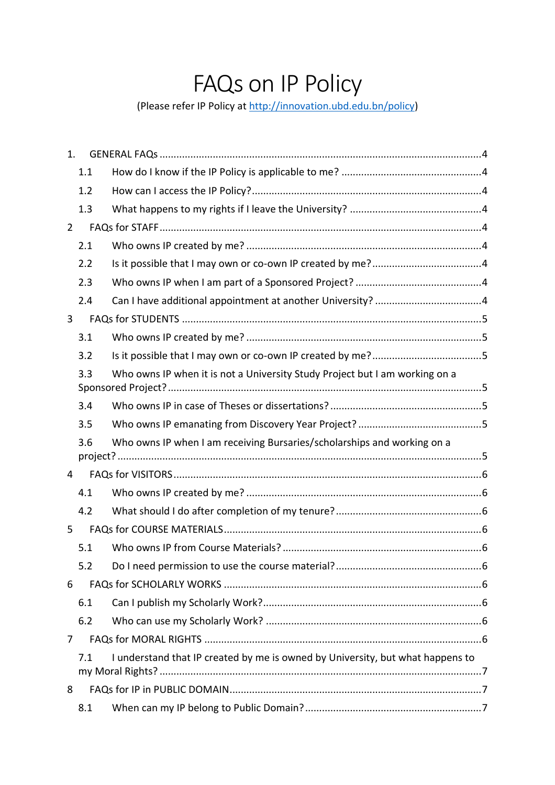# FAQs on IP Policy

(Please refer IP Policy at [http://innovation.ubd.edu.bn/policy\)](http://innovation.ubd.edu.bn/policy)

| 1.             |     |                                                                                |
|----------------|-----|--------------------------------------------------------------------------------|
|                | 1.1 |                                                                                |
|                | 1.2 |                                                                                |
|                | 1.3 |                                                                                |
| $\overline{2}$ |     |                                                                                |
|                | 2.1 |                                                                                |
|                | 2.2 |                                                                                |
|                | 2.3 |                                                                                |
|                | 2.4 |                                                                                |
| 3              |     |                                                                                |
|                | 3.1 |                                                                                |
|                | 3.2 |                                                                                |
|                | 3.3 | Who owns IP when it is not a University Study Project but I am working on a    |
|                | 3.4 |                                                                                |
|                | 3.5 |                                                                                |
|                | 3.6 | Who owns IP when I am receiving Bursaries/scholarships and working on a        |
|                |     |                                                                                |
| 4              |     |                                                                                |
|                | 4.1 |                                                                                |
|                | 4.2 |                                                                                |
| 5              |     |                                                                                |
|                | 5.1 |                                                                                |
|                | 5.2 |                                                                                |
| 6              |     |                                                                                |
|                | 6.1 |                                                                                |
|                | 6.2 |                                                                                |
| 7              |     |                                                                                |
|                | 7.1 | I understand that IP created by me is owned by University, but what happens to |
| 8              |     |                                                                                |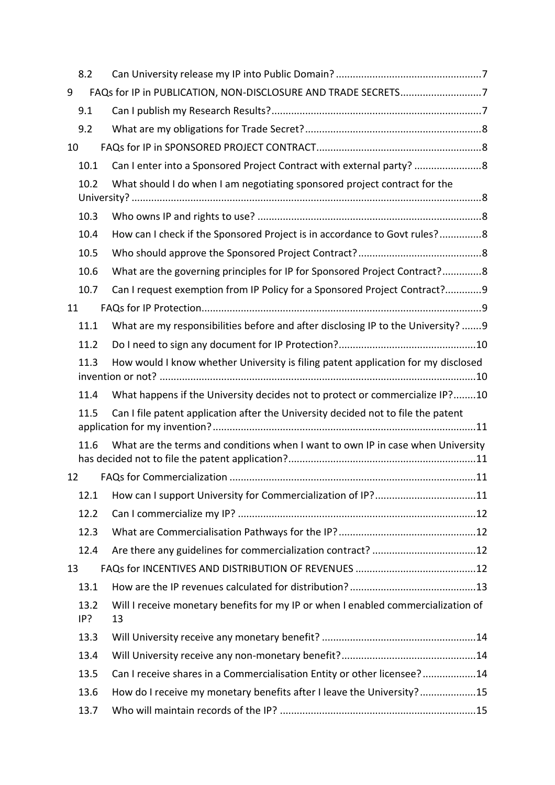|    | 8.2         |                                                                                         |  |
|----|-------------|-----------------------------------------------------------------------------------------|--|
| 9  |             | FAQs for IP in PUBLICATION, NON-DISCLOSURE AND TRADE SECRETS7                           |  |
|    | 9.1         |                                                                                         |  |
|    | 9.2         |                                                                                         |  |
| 10 |             |                                                                                         |  |
|    | 10.1        | Can I enter into a Sponsored Project Contract with external party? 8                    |  |
|    | 10.2        | What should I do when I am negotiating sponsored project contract for the               |  |
|    | 10.3        |                                                                                         |  |
|    | 10.4        | How can I check if the Sponsored Project is in accordance to Govt rules?8               |  |
|    | 10.5        |                                                                                         |  |
|    | 10.6        | What are the governing principles for IP for Sponsored Project Contract?8               |  |
|    | 10.7        | Can I request exemption from IP Policy for a Sponsored Project Contract?9               |  |
| 11 |             |                                                                                         |  |
|    | 11.1        | What are my responsibilities before and after disclosing IP to the University? 9        |  |
|    | 11.2        |                                                                                         |  |
|    | 11.3        | How would I know whether University is filing patent application for my disclosed       |  |
|    | 11.4        | What happens if the University decides not to protect or commercialize IP?10            |  |
|    | 11.5        | Can I file patent application after the University decided not to file the patent       |  |
|    | 11.6        | What are the terms and conditions when I want to own IP in case when University         |  |
| 12 |             |                                                                                         |  |
|    | 12.1        | How can I support University for Commercialization of IP?11                             |  |
|    | 12.2        |                                                                                         |  |
|    | 12.3        |                                                                                         |  |
|    | 12.4        |                                                                                         |  |
| 13 |             |                                                                                         |  |
|    | 13.1        |                                                                                         |  |
|    | 13.2<br>IP? | Will I receive monetary benefits for my IP or when I enabled commercialization of<br>13 |  |
|    | 13.3        |                                                                                         |  |
|    | 13.4        |                                                                                         |  |
|    | 13.5        | Can I receive shares in a Commercialisation Entity or other licensee?14                 |  |
|    | 13.6        | How do I receive my monetary benefits after I leave the University?15                   |  |
|    | 13.7        |                                                                                         |  |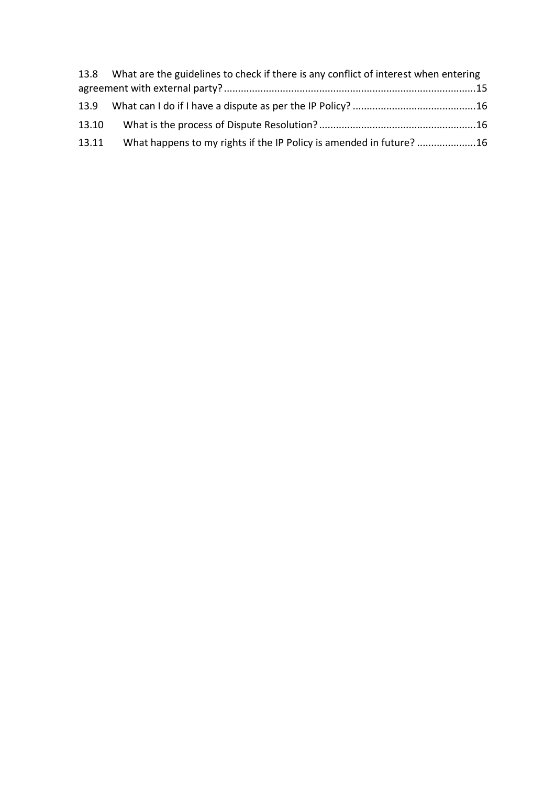|       | 13.8 What are the guidelines to check if there is any conflict of interest when entering |  |
|-------|------------------------------------------------------------------------------------------|--|
|       |                                                                                          |  |
|       |                                                                                          |  |
| 13.10 |                                                                                          |  |
| 13.11 | What happens to my rights if the IP Policy is amended in future? 16                      |  |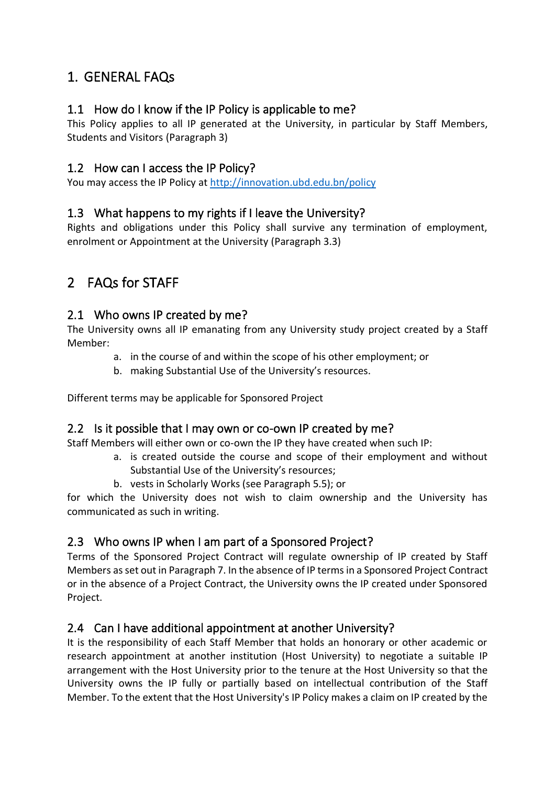# <span id="page-3-0"></span>1. GENERAL FAQs

## <span id="page-3-1"></span>1.1 How do I know if the IP Policy is applicable to me?

This Policy applies to all IP generated at the University, in particular by Staff Members, Students and Visitors (Paragraph 3)

#### <span id="page-3-2"></span>1.2 How can I access the IP Policy?

You may access the IP Policy at <http://innovation.ubd.edu.bn/policy>

#### <span id="page-3-3"></span>1.3 What happens to my rights if I leave the University?

Rights and obligations under this Policy shall survive any termination of employment, enrolment or Appointment at the University (Paragraph 3.3)

# <span id="page-3-4"></span>2 FAQs for STAFF

#### <span id="page-3-5"></span>2.1 Who owns IP created by me?

The University owns all IP emanating from any University study project created by a Staff Member:

- a. in the course of and within the scope of his other employment; or
- b. making Substantial Use of the University's resources.

Different terms may be applicable for Sponsored Project

#### <span id="page-3-6"></span>2.2 Is it possible that I may own or co-own IP created by me?

Staff Members will either own or co-own the IP they have created when such IP:

- a. is created outside the course and scope of their employment and without Substantial Use of the University's resources;
- b. vests in Scholarly Works (see Paragraph 5.5); or

for which the University does not wish to claim ownership and the University has communicated as such in writing.

# <span id="page-3-7"></span>2.3 Who owns IP when I am part of a Sponsored Project?

Terms of the Sponsored Project Contract will regulate ownership of IP created by Staff Members as set out in Paragraph 7. In the absence of IP terms in a Sponsored Project Contract or in the absence of a Project Contract, the University owns the IP created under Sponsored Project.

# <span id="page-3-8"></span>2.4 Can I have additional appointment at another University?

It is the responsibility of each Staff Member that holds an honorary or other academic or research appointment at another institution (Host University) to negotiate a suitable IP arrangement with the Host University prior to the tenure at the Host University so that the University owns the IP fully or partially based on intellectual contribution of the Staff Member. To the extent that the Host University's IP Policy makes a claim on IP created by the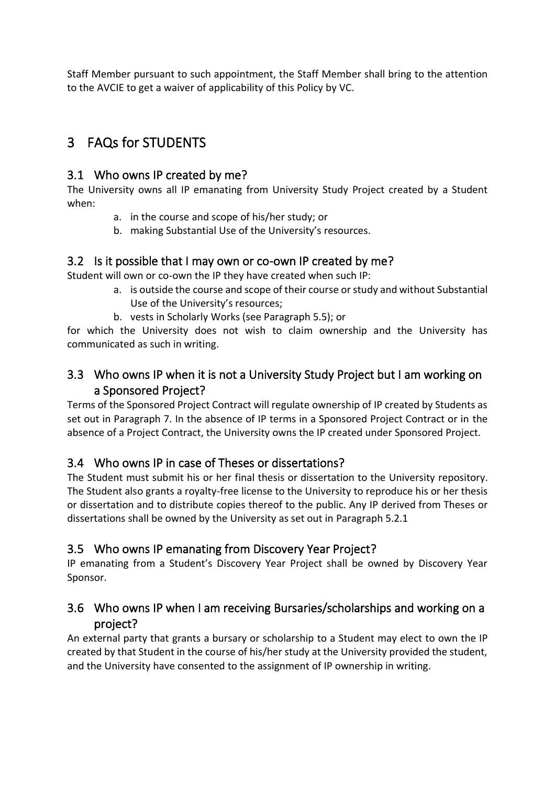Staff Member pursuant to such appointment, the Staff Member shall bring to the attention to the AVCIE to get a waiver of applicability of this Policy by VC.

# <span id="page-4-0"></span>3 FAQs for STUDENTS

#### <span id="page-4-1"></span>3.1 Who owns IP created by me?

The University owns all IP emanating from University Study Project created by a Student when:

- a. in the course and scope of his/her study; or
- b. making Substantial Use of the University's resources.

#### <span id="page-4-2"></span>3.2 Is it possible that I may own or co-own IP created by me?

Student will own or co-own the IP they have created when such IP:

- a. is outside the course and scope of their course or study and without Substantial Use of the University's resources;
- b. vests in Scholarly Works (see Paragraph 5.5); or

for which the University does not wish to claim ownership and the University has communicated as such in writing.

# <span id="page-4-3"></span>3.3 Who owns IP when it is not a University Study Project but I am working on a Sponsored Project?

Terms of the Sponsored Project Contract will regulate ownership of IP created by Students as set out in Paragraph 7. In the absence of IP terms in a Sponsored Project Contract or in the absence of a Project Contract, the University owns the IP created under Sponsored Project.

# <span id="page-4-4"></span>3.4 Who owns IP in case of Theses or dissertations?

The Student must submit his or her final thesis or dissertation to the University repository. The Student also grants a royalty-free license to the University to reproduce his or her thesis or dissertation and to distribute copies thereof to the public. Any IP derived from Theses or dissertations shall be owned by the University as set out in Paragraph 5.2.1

# <span id="page-4-5"></span>3.5 Who owns IP emanating from Discovery Year Project?

IP emanating from a Student's Discovery Year Project shall be owned by Discovery Year Sponsor.

# <span id="page-4-6"></span>3.6 Who owns IP when I am receiving Bursaries/scholarships and working on a project?

An external party that grants a bursary or scholarship to a Student may elect to own the IP created by that Student in the course of his/her study at the University provided the student, and the University have consented to the assignment of IP ownership in writing.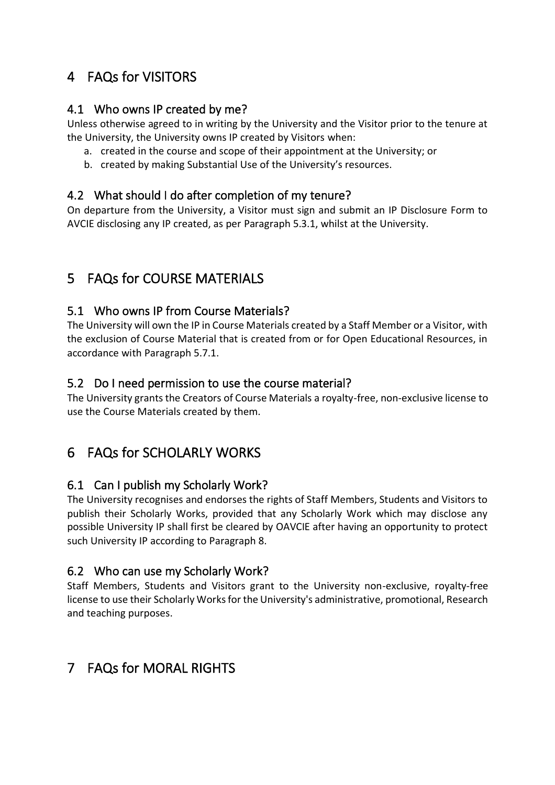# <span id="page-5-0"></span>4 FAQs for VISITORS

#### <span id="page-5-1"></span>4.1 Who owns IP created by me?

Unless otherwise agreed to in writing by the University and the Visitor prior to the tenure at the University, the University owns IP created by Visitors when:

- a. created in the course and scope of their appointment at the University; or
- b. created by making Substantial Use of the University's resources.

#### <span id="page-5-2"></span>4.2 What should I do after completion of my tenure?

On departure from the University, a Visitor must sign and submit an IP Disclosure Form to AVCIE disclosing any IP created, as per Paragraph 5.3.1, whilst at the University.

# <span id="page-5-3"></span>5 FAQs for COURSE MATERIALS

# <span id="page-5-4"></span>5.1 Who owns IP from Course Materials?

The University will own the IP in Course Materials created by a Staff Member or a Visitor, with the exclusion of Course Material that is created from or for Open Educational Resources, in accordance with Paragraph 5.7.1.

#### <span id="page-5-5"></span>5.2 Do I need permission to use the course material?

The University grants the Creators of Course Materials a royalty-free, non-exclusive license to use the Course Materials created by them.

# <span id="page-5-6"></span>6 FAQs for SCHOLARLY WORKS

#### <span id="page-5-7"></span>6.1 Can I publish my Scholarly Work?

The University recognises and endorses the rights of Staff Members, Students and Visitors to publish their Scholarly Works, provided that any Scholarly Work which may disclose any possible University IP shall first be cleared by OAVCIE after having an opportunity to protect such University IP according to Paragraph 8.

# <span id="page-5-8"></span>6.2 Who can use my Scholarly Work?

Staff Members, Students and Visitors grant to the University non-exclusive, royalty-free license to use their Scholarly Works for the University's administrative, promotional, Research and teaching purposes.

# <span id="page-5-9"></span>7 FAQs for MORAL RIGHTS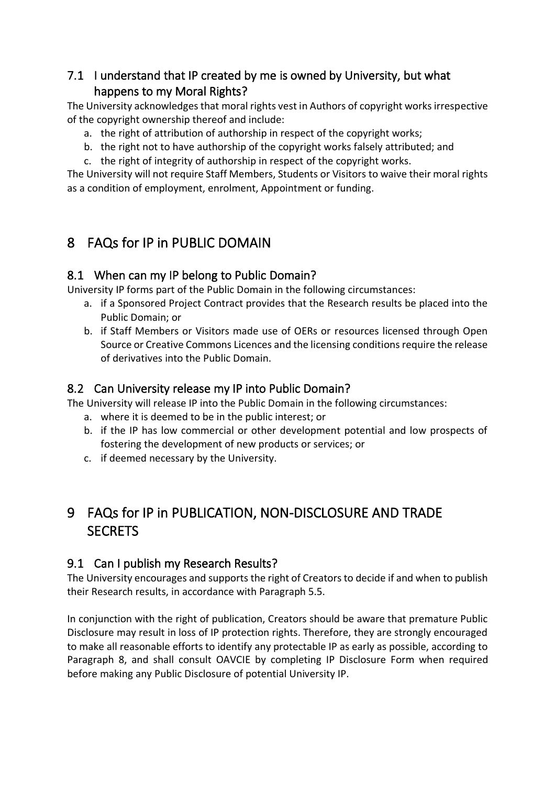# <span id="page-6-0"></span>7.1 I understand that IP created by me is owned by University, but what happens to my Moral Rights?

The University acknowledges that moral rights vest in Authors of copyright works irrespective of the copyright ownership thereof and include:

- a. the right of attribution of authorship in respect of the copyright works;
- b. the right not to have authorship of the copyright works falsely attributed; and
- c. the right of integrity of authorship in respect of the copyright works.

The University will not require Staff Members, Students or Visitors to waive their moral rights as a condition of employment, enrolment, Appointment or funding.

# <span id="page-6-1"></span>8 FAQs for IP in PUBLIC DOMAIN

# <span id="page-6-2"></span>8.1 When can my IP belong to Public Domain?

University IP forms part of the Public Domain in the following circumstances:

- a. if a Sponsored Project Contract provides that the Research results be placed into the Public Domain; or
- b. if Staff Members or Visitors made use of OERs or resources licensed through Open Source or Creative Commons Licences and the licensing conditions require the release of derivatives into the Public Domain.

## <span id="page-6-3"></span>8.2 Can University release my IP into Public Domain?

The University will release IP into the Public Domain in the following circumstances:

- a. where it is deemed to be in the public interest; or
- b. if the IP has low commercial or other development potential and low prospects of fostering the development of new products or services; or
- c. if deemed necessary by the University.

# <span id="page-6-4"></span>9 FAQs for IP in PUBLICATION, NON-DISCLOSURE AND TRADE SECRETS

# <span id="page-6-5"></span>9.1 Can I publish my Research Results?

The University encourages and supports the right of Creators to decide if and when to publish their Research results, in accordance with Paragraph 5.5.

In conjunction with the right of publication, Creators should be aware that premature Public Disclosure may result in loss of IP protection rights. Therefore, they are strongly encouraged to make all reasonable efforts to identify any protectable IP as early as possible, according to Paragraph 8, and shall consult OAVCIE by completing IP Disclosure Form when required before making any Public Disclosure of potential University IP.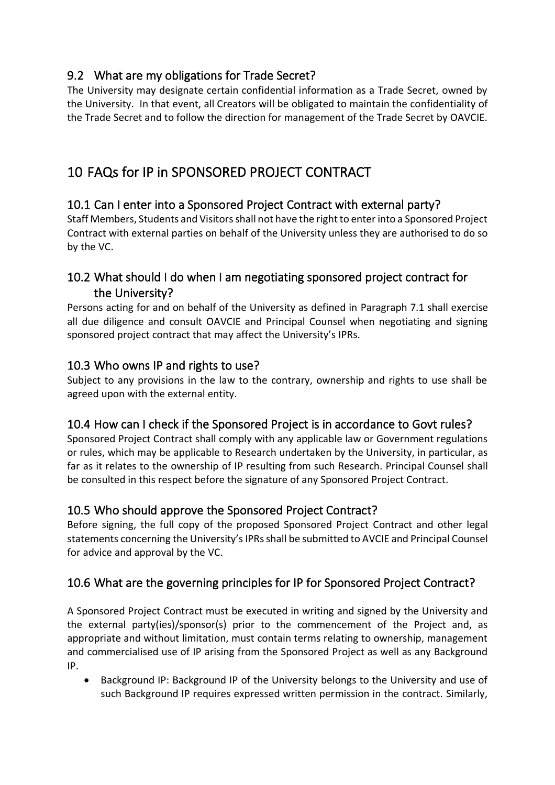# <span id="page-7-0"></span>9.2 What are my obligations for Trade Secret?

The University may designate certain confidential information as a Trade Secret, owned by the University. In that event, all Creators will be obligated to maintain the confidentiality of the Trade Secret and to follow the direction for management of the Trade Secret by OAVCIE.

# <span id="page-7-1"></span>10 FAQs for IP in SPONSORED PROJECT CONTRACT

# <span id="page-7-2"></span>10.1 Can I enter into a Sponsored Project Contract with external party?

Staff Members, Students and Visitors shall not have the right to enter into a Sponsored Project Contract with external parties on behalf of the University unless they are authorised to do so by the VC.

## <span id="page-7-3"></span>10.2 What should I do when I am negotiating sponsored project contract for the University?

Persons acting for and on behalf of the University as defined in Paragraph 7.1 shall exercise all due diligence and consult OAVCIE and Principal Counsel when negotiating and signing sponsored project contract that may affect the University's IPRs.

#### <span id="page-7-4"></span>10.3 Who owns IP and rights to use?

Subject to any provisions in the law to the contrary, ownership and rights to use shall be agreed upon with the external entity.

#### <span id="page-7-5"></span>10.4 How can I check if the Sponsored Project is in accordance to Govt rules?

Sponsored Project Contract shall comply with any applicable law or Government regulations or rules, which may be applicable to Research undertaken by the University, in particular, as far as it relates to the ownership of IP resulting from such Research. Principal Counsel shall be consulted in this respect before the signature of any Sponsored Project Contract.

# <span id="page-7-6"></span>10.5 Who should approve the Sponsored Project Contract?

Before signing, the full copy of the proposed Sponsored Project Contract and other legal statements concerning the University's IPRs shall be submitted to AVCIE and Principal Counsel for advice and approval by the VC.

# <span id="page-7-7"></span>10.6 What are the governing principles for IP for Sponsored Project Contract?

A Sponsored Project Contract must be executed in writing and signed by the University and the external party(ies)/sponsor(s) prior to the commencement of the Project and, as appropriate and without limitation, must contain terms relating to ownership, management and commercialised use of IP arising from the Sponsored Project as well as any Background IP.

• Background IP: Background IP of the University belongs to the University and use of such Background IP requires expressed written permission in the contract. Similarly,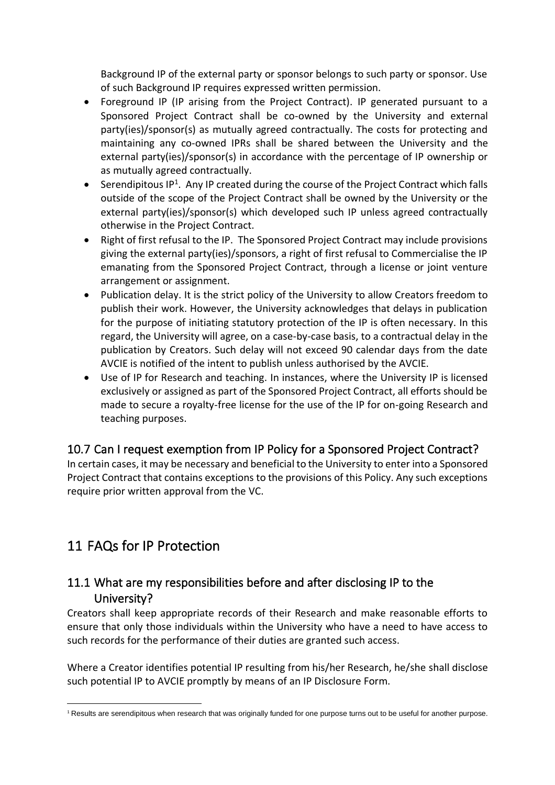Background IP of the external party or sponsor belongs to such party or sponsor. Use of such Background IP requires expressed written permission.

- Foreground IP (IP arising from the Project Contract). IP generated pursuant to a Sponsored Project Contract shall be co-owned by the University and external party(ies)/sponsor(s) as mutually agreed contractually. The costs for protecting and maintaining any co-owned IPRs shall be shared between the University and the external party(ies)/sponsor(s) in accordance with the percentage of IP ownership or as mutually agreed contractually.
- Serendipitous IP<sup>1</sup>. Any IP created during the course of the Project Contract which falls outside of the scope of the Project Contract shall be owned by the University or the external party(ies)/sponsor(s) which developed such IP unless agreed contractually otherwise in the Project Contract.
- Right of first refusal to the IP. The Sponsored Project Contract may include provisions giving the external party(ies)/sponsors, a right of first refusal to Commercialise the IP emanating from the Sponsored Project Contract, through a license or joint venture arrangement or assignment.
- Publication delay. It is the strict policy of the University to allow Creators freedom to publish their work. However, the University acknowledges that delays in publication for the purpose of initiating statutory protection of the IP is often necessary. In this regard, the University will agree, on a case-by-case basis, to a contractual delay in the publication by Creators. Such delay will not exceed 90 calendar days from the date AVCIE is notified of the intent to publish unless authorised by the AVCIE.
- Use of IP for Research and teaching. In instances, where the University IP is licensed exclusively or assigned as part of the Sponsored Project Contract, all efforts should be made to secure a royalty-free license for the use of the IP for on-going Research and teaching purposes.

# <span id="page-8-0"></span>10.7 Can I request exemption from IP Policy for a Sponsored Project Contract?

In certain cases, it may be necessary and beneficial to the University to enter into a Sponsored Project Contract that contains exceptions to the provisions of this Policy. Any such exceptions require prior written approval from the VC.

# <span id="page-8-1"></span>11 FAQs for IP Protection

#### <span id="page-8-2"></span>11.1 What are my responsibilities before and after disclosing IP to the University?

Creators shall keep appropriate records of their Research and make reasonable efforts to ensure that only those individuals within the University who have a need to have access to such records for the performance of their duties are granted such access.

Where a Creator identifies potential IP resulting from his/her Research, he/she shall disclose such potential IP to AVCIE promptly by means of an IP Disclosure Form.

 $1$  Results are serendipitous when research that was originally funded for one purpose turns out to be useful for another purpose.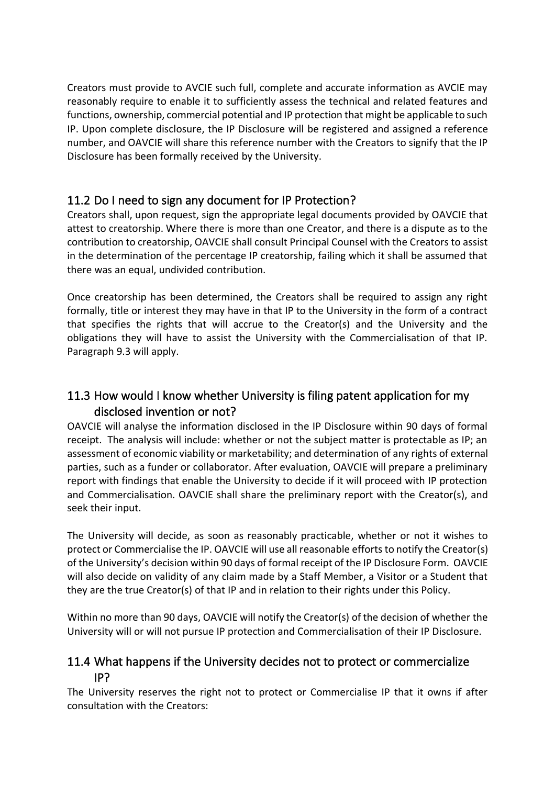Creators must provide to AVCIE such full, complete and accurate information as AVCIE may reasonably require to enable it to sufficiently assess the technical and related features and functions, ownership, commercial potential and IP protection that might be applicable to such IP. Upon complete disclosure, the IP Disclosure will be registered and assigned a reference number, and OAVCIE will share this reference number with the Creators to signify that the IP Disclosure has been formally received by the University.

#### <span id="page-9-0"></span>11.2 Do I need to sign any document for IP Protection?

Creators shall, upon request, sign the appropriate legal documents provided by OAVCIE that attest to creatorship. Where there is more than one Creator, and there is a dispute as to the contribution to creatorship, OAVCIE shall consult Principal Counsel with the Creators to assist in the determination of the percentage IP creatorship, failing which it shall be assumed that there was an equal, undivided contribution.

Once creatorship has been determined, the Creators shall be required to assign any right formally, title or interest they may have in that IP to the University in the form of a contract that specifies the rights that will accrue to the Creator(s) and the University and the obligations they will have to assist the University with the Commercialisation of that IP. Paragraph 9.3 will apply.

# <span id="page-9-1"></span>11.3 How would I know whether University is filing patent application for my disclosed invention or not?

OAVCIE will analyse the information disclosed in the IP Disclosure within 90 days of formal receipt. The analysis will include: whether or not the subject matter is protectable as IP; an assessment of economic viability or marketability; and determination of any rights of external parties, such as a funder or collaborator. After evaluation, OAVCIE will prepare a preliminary report with findings that enable the University to decide if it will proceed with IP protection and Commercialisation. OAVCIE shall share the preliminary report with the Creator(s), and seek their input.

The University will decide, as soon as reasonably practicable, whether or not it wishes to protect or Commercialise the IP. OAVCIE will use all reasonable efforts to notify the Creator(s) of the University's decision within 90 days of formal receipt of the IP Disclosure Form. OAVCIE will also decide on validity of any claim made by a Staff Member, a Visitor or a Student that they are the true Creator(s) of that IP and in relation to their rights under this Policy.

Within no more than 90 days, OAVCIE will notify the Creator(s) of the decision of whether the University will or will not pursue IP protection and Commercialisation of their IP Disclosure.

#### <span id="page-9-2"></span>11.4 What happens if the University decides not to protect or commercialize IP?

The University reserves the right not to protect or Commercialise IP that it owns if after consultation with the Creators: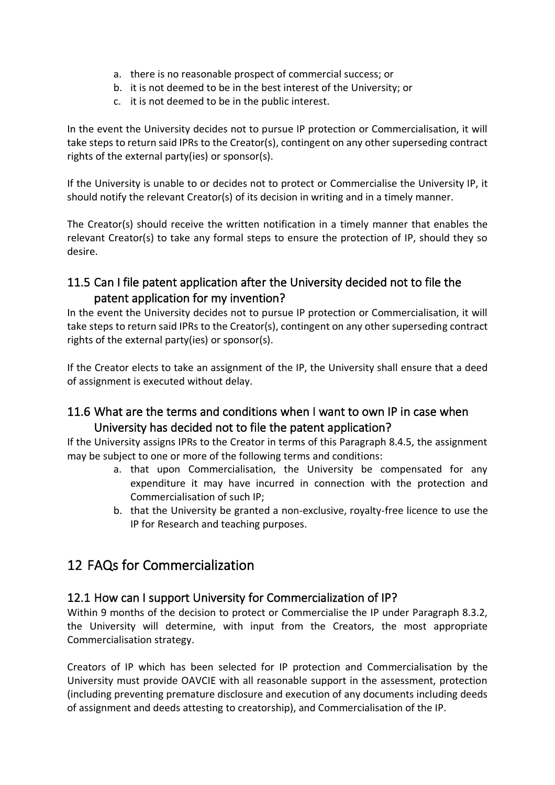- a. there is no reasonable prospect of commercial success; or
- b. it is not deemed to be in the best interest of the University; or
- c. it is not deemed to be in the public interest.

In the event the University decides not to pursue IP protection or Commercialisation, it will take steps to return said IPRs to the Creator(s), contingent on any other superseding contract rights of the external party(ies) or sponsor(s).

If the University is unable to or decides not to protect or Commercialise the University IP, it should notify the relevant Creator(s) of its decision in writing and in a timely manner.

The Creator(s) should receive the written notification in a timely manner that enables the relevant Creator(s) to take any formal steps to ensure the protection of IP, should they so desire.

#### <span id="page-10-0"></span>11.5 Can I file patent application after the University decided not to file the patent application for my invention?

In the event the University decides not to pursue IP protection or Commercialisation, it will take steps to return said IPRs to the Creator(s), contingent on any other superseding contract rights of the external party(ies) or sponsor(s).

If the Creator elects to take an assignment of the IP, the University shall ensure that a deed of assignment is executed without delay.

#### <span id="page-10-1"></span>11.6 What are the terms and conditions when I want to own IP in case when University has decided not to file the patent application?

If the University assigns IPRs to the Creator in terms of this Paragraph 8.4.5, the assignment may be subject to one or more of the following terms and conditions:

- a. that upon Commercialisation, the University be compensated for any expenditure it may have incurred in connection with the protection and Commercialisation of such IP;
- b. that the University be granted a non-exclusive, royalty-free licence to use the IP for Research and teaching purposes.

# <span id="page-10-2"></span>12 FAQs for Commercialization

#### <span id="page-10-3"></span>12.1 How can I support University for Commercialization of IP?

Within 9 months of the decision to protect or Commercialise the IP under Paragraph 8.3.2, the University will determine, with input from the Creators, the most appropriate Commercialisation strategy.

Creators of IP which has been selected for IP protection and Commercialisation by the University must provide OAVCIE with all reasonable support in the assessment, protection (including preventing premature disclosure and execution of any documents including deeds of assignment and deeds attesting to creatorship), and Commercialisation of the IP.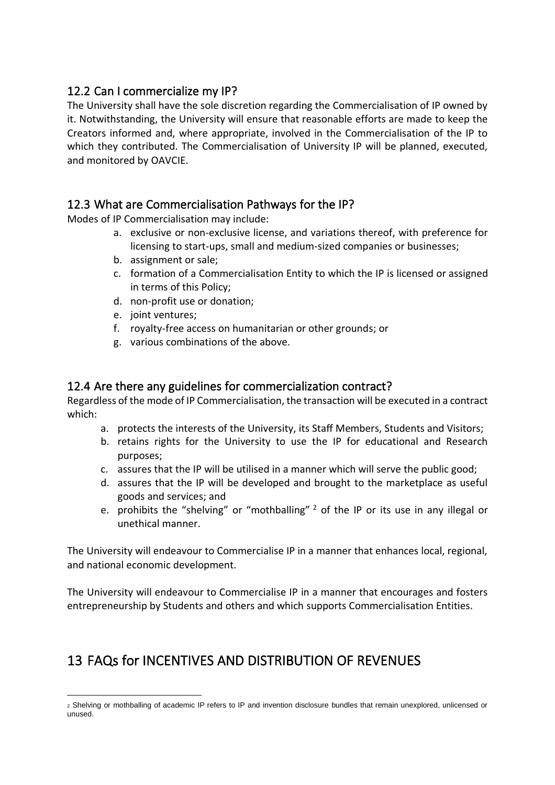#### <span id="page-11-0"></span>12.2 Can I commercialize my IP?

The University shall have the sole discretion regarding the Commercialisation of IP owned by it. Notwithstanding, the University will ensure that reasonable efforts are made to keep the Creators informed and, where appropriate, involved in the Commercialisation of the IP to which they contributed. The Commercialisation of University IP will be planned, executed, and monitored by OAVCIE.

#### <span id="page-11-1"></span>12.3 What are Commercialisation Pathways for the IP?

Modes of IP Commercialisation may include:

- a. exclusive or non-exclusive license, and variations thereof, with preference for licensing to start-ups, small and medium-sized companies or businesses;
- b. assignment or sale;
- c. formation of a Commercialisation Entity to which the IP is licensed or assigned in terms of this Policy;
- d. non-profit use or donation;
- e. joint ventures;
- f. royalty-free access on humanitarian or other grounds; or
- g. various combinations of the above.

#### <span id="page-11-2"></span>12.4 Are there any guidelines for commercialization contract?

Regardless of the mode of IP Commercialisation, the transaction will be executed in a contract which:

- a. protects the interests of the University, its Staff Members, Students and Visitors;
- b. retains rights for the University to use the IP for educational and Research purposes;
- c. assures that the IP will be utilised in a manner which will serve the public good;
- d. assures that the IP will be developed and brought to the marketplace as useful goods and services; and
- e. prohibits the "shelving" or "mothballing"  $2$  of the IP or its use in any illegal or unethical manner.

The University will endeavour to Commercialise IP in a manner that enhances local, regional, and national economic development.

The University will endeavour to Commercialise IP in a manner that encourages and fosters entrepreneurship by Students and others and which supports Commercialisation Entities.

# <span id="page-11-3"></span>13 FAQs for INCENTIVES AND DISTRIBUTION OF REVENUES

<sup>2</sup> Shelving or mothballing of academic IP refers to IP and invention disclosure bundles that remain unexplored, unlicensed or unused.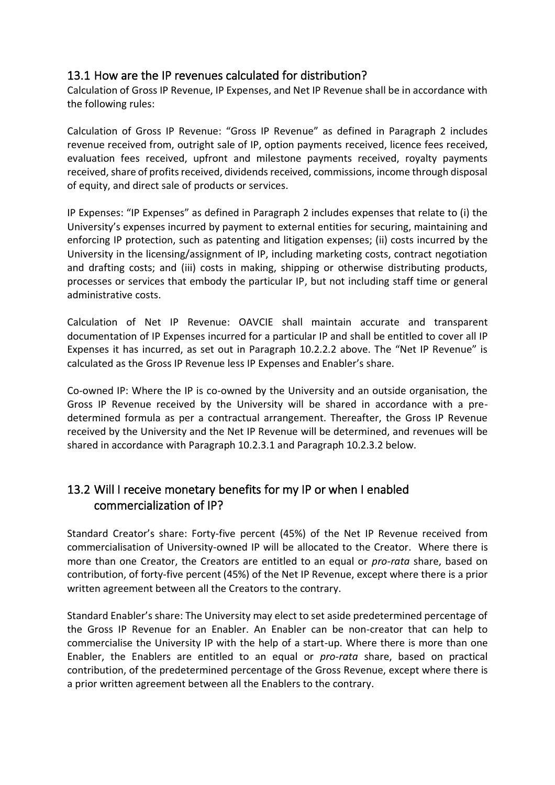#### <span id="page-12-0"></span>13.1 How are the IP revenues calculated for distribution?

Calculation of Gross IP Revenue, IP Expenses, and Net IP Revenue shall be in accordance with the following rules:

Calculation of Gross IP Revenue: "Gross IP Revenue" as defined in Paragraph 2 includes revenue received from, outright sale of IP, option payments received, licence fees received, evaluation fees received, upfront and milestone payments received, royalty payments received, share of profits received, dividends received, commissions, income through disposal of equity, and direct sale of products or services.

IP Expenses: "IP Expenses" as defined in Paragraph 2 includes expenses that relate to (i) the University's expenses incurred by payment to external entities for securing, maintaining and enforcing IP protection, such as patenting and litigation expenses; (ii) costs incurred by the University in the licensing/assignment of IP, including marketing costs, contract negotiation and drafting costs; and (iii) costs in making, shipping or otherwise distributing products, processes or services that embody the particular IP, but not including staff time or general administrative costs.

Calculation of Net IP Revenue: OAVCIE shall maintain accurate and transparent documentation of IP Expenses incurred for a particular IP and shall be entitled to cover all IP Expenses it has incurred, as set out in Paragraph 10.2.2.2 above. The "Net IP Revenue" is calculated as the Gross IP Revenue less IP Expenses and Enabler's share.

Co-owned IP: Where the IP is co-owned by the University and an outside organisation, the Gross IP Revenue received by the University will be shared in accordance with a predetermined formula as per a contractual arrangement. Thereafter, the Gross IP Revenue received by the University and the Net IP Revenue will be determined, and revenues will be shared in accordance with Paragraph 10.2.3.1 and Paragraph 10.2.3.2 below.

#### <span id="page-12-1"></span>13.2 Will I receive monetary benefits for my IP or when I enabled commercialization of IP?

Standard Creator's share: Forty-five percent (45%) of the Net IP Revenue received from commercialisation of University-owned IP will be allocated to the Creator. Where there is more than one Creator, the Creators are entitled to an equal or *pro-rata* share, based on contribution, of forty-five percent (45%) of the Net IP Revenue, except where there is a prior written agreement between all the Creators to the contrary.

Standard Enabler's share: The University may elect to set aside predetermined percentage of the Gross IP Revenue for an Enabler. An Enabler can be non-creator that can help to commercialise the University IP with the help of a start-up. Where there is more than one Enabler, the Enablers are entitled to an equal or *pro-rata* share, based on practical contribution, of the predetermined percentage of the Gross Revenue, except where there is a prior written agreement between all the Enablers to the contrary.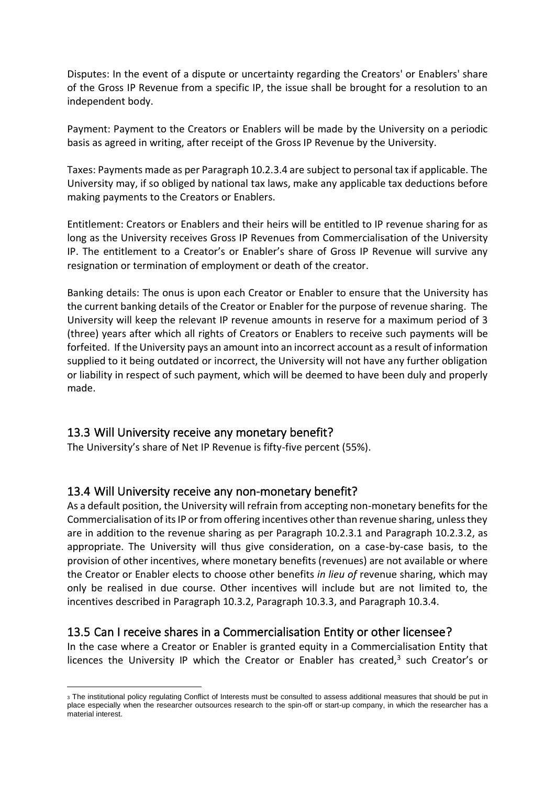Disputes: In the event of a dispute or uncertainty regarding the Creators' or Enablers' share of the Gross IP Revenue from a specific IP, the issue shall be brought for a resolution to an independent body.

Payment: Payment to the Creators or Enablers will be made by the University on a periodic basis as agreed in writing, after receipt of the Gross IP Revenue by the University.

Taxes: Payments made as per Paragraph 10.2.3.4 are subject to personal tax if applicable. The University may, if so obliged by national tax laws, make any applicable tax deductions before making payments to the Creators or Enablers.

Entitlement: Creators or Enablers and their heirs will be entitled to IP revenue sharing for as long as the University receives Gross IP Revenues from Commercialisation of the University IP. The entitlement to a Creator's or Enabler's share of Gross IP Revenue will survive any resignation or termination of employment or death of the creator.

Banking details: The onus is upon each Creator or Enabler to ensure that the University has the current banking details of the Creator or Enabler for the purpose of revenue sharing. The University will keep the relevant IP revenue amounts in reserve for a maximum period of 3 (three) years after which all rights of Creators or Enablers to receive such payments will be forfeited. If the University pays an amount into an incorrect account as a result of information supplied to it being outdated or incorrect, the University will not have any further obligation or liability in respect of such payment, which will be deemed to have been duly and properly made.

#### <span id="page-13-0"></span>13.3 Will University receive any monetary benefit?

The University's share of Net IP Revenue is fifty-five percent (55%).

#### <span id="page-13-1"></span>13.4 Will University receive any non-monetary benefit?

As a default position, the University will refrain from accepting non-monetary benefits for the Commercialisation of its IP or from offering incentives other than revenue sharing, unless they are in addition to the revenue sharing as per Paragraph 10.2.3.1 and Paragraph 10.2.3.2, as appropriate. The University will thus give consideration, on a case-by-case basis, to the provision of other incentives, where monetary benefits (revenues) are not available or where the Creator or Enabler elects to choose other benefits *in lieu of* revenue sharing, which may only be realised in due course. Other incentives will include but are not limited to, the incentives described in Paragraph 10.3.2, Paragraph 10.3.3, and Paragraph 10.3.4.

#### <span id="page-13-2"></span>13.5 Can I receive shares in a Commercialisation Entity or other licensee?

In the case where a Creator or Enabler is granted equity in a Commercialisation Entity that licences the University IP which the Creator or Enabler has created, $3$  such Creator's or

<sup>3</sup> The institutional policy regulating Conflict of Interests must be consulted to assess additional measures that should be put in place especially when the researcher outsources research to the spin-off or start-up company, in which the researcher has a material interest.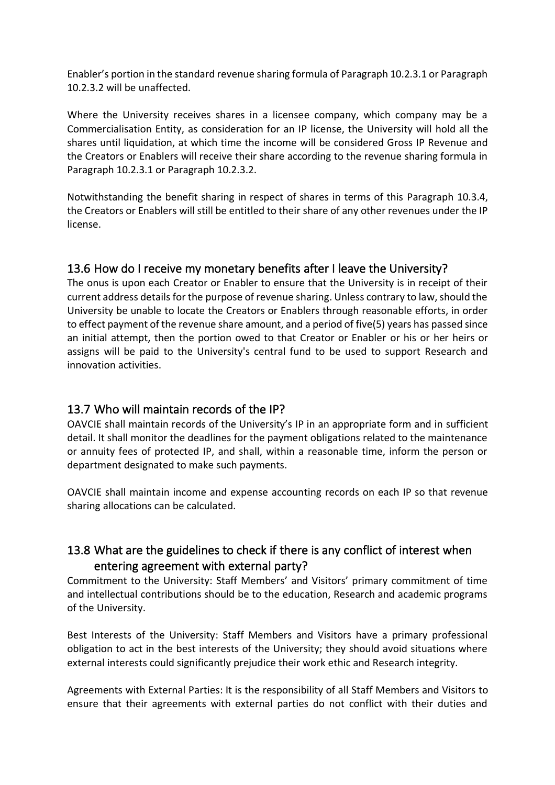Enabler's portion in the standard revenue sharing formula of Paragraph 10.2.3.1 or Paragraph 10.2.3.2 will be unaffected.

Where the University receives shares in a licensee company, which company may be a Commercialisation Entity, as consideration for an IP license, the University will hold all the shares until liquidation, at which time the income will be considered Gross IP Revenue and the Creators or Enablers will receive their share according to the revenue sharing formula in Paragraph 10.2.3.1 or Paragraph 10.2.3.2.

Notwithstanding the benefit sharing in respect of shares in terms of this Paragraph 10.3.4, the Creators or Enablers will still be entitled to their share of any other revenues under the IP license.

#### <span id="page-14-0"></span>13.6 How do I receive my monetary benefits after I leave the University?

The onus is upon each Creator or Enabler to ensure that the University is in receipt of their current address details for the purpose of revenue sharing. Unless contrary to law, should the University be unable to locate the Creators or Enablers through reasonable efforts, in order to effect payment of the revenue share amount, and a period of five(5) years has passed since an initial attempt, then the portion owed to that Creator or Enabler or his or her heirs or assigns will be paid to the University's central fund to be used to support Research and innovation activities.

#### <span id="page-14-1"></span>13.7 Who will maintain records of the IP?

OAVCIE shall maintain records of the University's IP in an appropriate form and in sufficient detail. It shall monitor the deadlines for the payment obligations related to the maintenance or annuity fees of protected IP, and shall, within a reasonable time, inform the person or department designated to make such payments.

OAVCIE shall maintain income and expense accounting records on each IP so that revenue sharing allocations can be calculated.

#### <span id="page-14-2"></span>13.8 What are the guidelines to check if there is any conflict of interest when entering agreement with external party?

Commitment to the University: Staff Members' and Visitors' primary commitment of time and intellectual contributions should be to the education, Research and academic programs of the University.

Best Interests of the University: Staff Members and Visitors have a primary professional obligation to act in the best interests of the University; they should avoid situations where external interests could significantly prejudice their work ethic and Research integrity.

Agreements with External Parties: It is the responsibility of all Staff Members and Visitors to ensure that their agreements with external parties do not conflict with their duties and